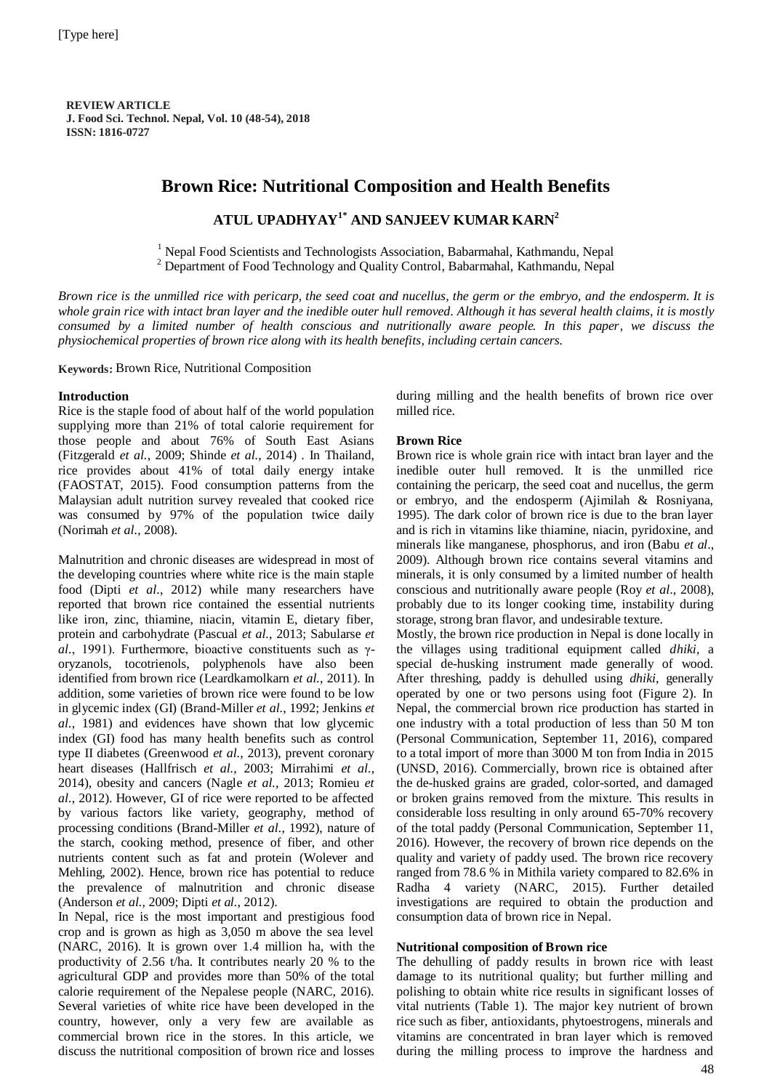**REVIEWARTICLE J. Food Sci. Technol. Nepal, Vol. 10 (48-54), 2018 ISSN: 1816-0727**

# **Brown Rice: Nutritional Composition and Health Benefits**

## **ATUL UPADHYAY1\* AND SANJEEV KUMAR KARN<sup>2</sup>**

<sup>1</sup> Nepal Food Scientists and Technologists Association, Babarmahal, Kathmandu, Nepal <sup>2</sup> Department of Food Technology and Quality Control, Babarmahal, Kathmandu, Nepal

*Brown rice is the unmilled rice with pericarp, the seed coat and nucellus, the germ or the embryo, and the endosperm. It is whole grain rice with intact bran layer and the inedible outer hull removed. Although it has several health claims, it is mostly consumed by a limited number of health conscious and nutritionally aware people. In this paper, we discuss the physiochemical properties of brown rice along with its health benefits, including certain cancers.*

**Keywords:** Brown Rice, Nutritional Composition

## **Introduction**

Rice is the staple food of about half of the world population supplying more than 21% of total calorie requirement for those people and about 76% of South East Asians (Fitzgerald *et al.*, 2009; Shinde *et al.*, 2014) . In Thailand, rice provides about 41% of total daily energy intake (FAOSTAT, 2015). Food consumption patterns from the Malaysian adult nutrition survey revealed that cooked rice was consumed by 97% of the population twice daily (Norimah *et al.*, 2008).

Malnutrition and chronic diseases are widespread in most of the developing countries where white rice is the main staple food (Dipti *et al.*, 2012) while many researchers have reported that brown rice contained the essential nutrients like iron, zinc, thiamine, niacin, vitamin E, dietary fiber, protein and carbohydrate (Pascual *et al.*, 2013; Sabularse *et al.*, 1991). Furthermore, bioactive constituents such as γoryzanols, tocotrienols, polyphenols have also been identified from brown rice (Leardkamolkarn *et al.*, 2011). In addition, some varieties of brown rice were found to be low in glycemic index (GI) (Brand-Miller *et al.*, 1992; Jenkins *et al.*, 1981) and evidences have shown that low glycemic index (GI) food has many health benefits such as control type II diabetes (Greenwood *et al.*, 2013), prevent coronary heart diseases (Hallfrisch *et al.*, 2003; Mirrahimi *et al.*, 2014), obesity and cancers (Nagle *et al.*, 2013; Romieu *et al.*, 2012). However, GI of rice were reported to be affected by various factors like variety, geography, method of processing conditions (Brand-Miller *et al.*, 1992), nature of the starch, cooking method, presence of fiber, and other nutrients content such as fat and protein (Wolever and Mehling, 2002). Hence, brown rice has potential to reduce the prevalence of malnutrition and chronic disease (Anderson *et al.*, 2009; Dipti *et al.*, 2012).

In Nepal, rice is the most important and prestigious food crop and is grown as high as 3,050 m above the sea level (NARC, 2016). It is grown over 1.4 million ha, with the productivity of 2.56 t/ha. It contributes nearly 20 % to the agricultural GDP and provides more than 50% of the total calorie requirement of the Nepalese people (NARC, 2016). Several varieties of white rice have been developed in the country, however, only a very few are available as commercial brown rice in the stores. In this article, we discuss the nutritional composition of brown rice and losses

during milling and the health benefits of brown rice over milled rice.

## **Brown Rice**

Brown rice is whole grain rice with intact bran layer and the inedible outer hull removed. It is the unmilled rice containing the pericarp, the seed coat and nucellus, the germ or embryo, and the endosperm (Ajimilah & Rosniyana, 1995). The dark color of brown rice is due to the bran layer and is rich in vitamins like thiamine, niacin, pyridoxine, and minerals like manganese, phosphorus, and iron (Babu *et al*., 2009). Although brown rice contains several vitamins and minerals, it is only consumed by a limited number of health conscious and nutritionally aware people (Roy *et al*., 2008), probably due to its longer cooking time, instability during storage, strong bran flavor, and undesirable texture.

Mostly, the brown rice production in Nepal is done locally in the villages using traditional equipment called *dhiki*, a special de-husking instrument made generally of wood. After threshing, paddy is dehulled using *dhiki*, generally operated by one or two persons using foot (Figure 2). In Nepal, the commercial brown rice production has started in one industry with a total production of less than 50 M ton (Personal Communication, September 11, 2016), compared to a total import of more than 3000 M ton from India in 2015 (UNSD, 2016). Commercially, brown rice is obtained after the de-husked grains are graded, color-sorted, and damaged or broken grains removed from the mixture. This results in considerable loss resulting in only around 65-70% recovery of the total paddy (Personal Communication, September 11, 2016). However, the recovery of brown rice depends on the quality and variety of paddy used. The brown rice recovery ranged from 78.6 % in Mithila variety compared to 82.6% in Radha 4 variety (NARC, 2015). Further detailed investigations are required to obtain the production and consumption data of brown rice in Nepal.

## **Nutritional composition of Brown rice**

The dehulling of paddy results in brown rice with least damage to its nutritional quality; but further milling and polishing to obtain white rice results in significant losses of vital nutrients (Table 1). The major key nutrient of brown rice such as fiber, antioxidants, phytoestrogens, minerals and vitamins are concentrated in bran layer which is removed during the milling process to improve the hardness and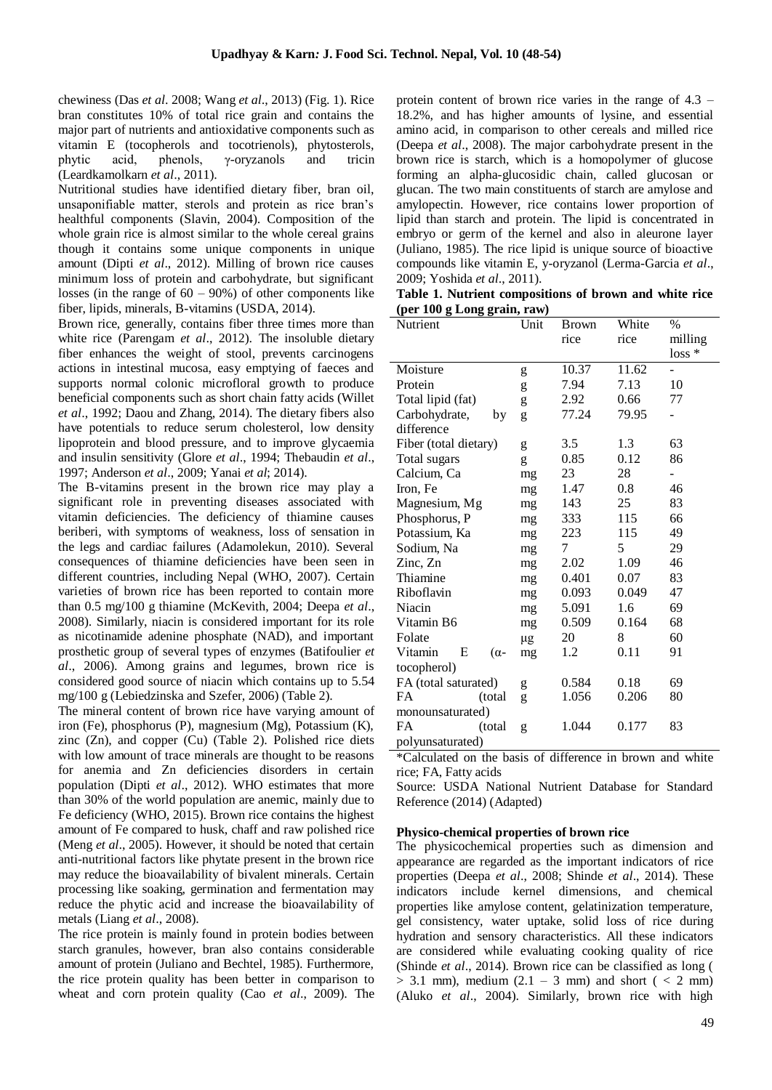chewiness (Das *et al*. 2008; Wang *et al*., 2013) (Fig. 1). Rice bran constitutes 10% of total rice grain and contains the major part of nutrients and antioxidative components such as vitamin E (tocopherols and tocotrienols), phytosterols, phytic acid, phenols, γ-oryzanols and tricin (Leardkamolkarn *et al*., 2011).

Nutritional studies have identified dietary fiber, bran oil, unsaponifiable matter, sterols and protein as rice bran's healthful components (Slavin, 2004). Composition of the whole grain rice is almost similar to the whole cereal grains though it contains some unique components in unique amount (Dipti *et al*., 2012). Milling of brown rice causes minimum loss of protein and carbohydrate, but significant losses (in the range of  $60 - 90\%$ ) of other components like fiber, lipids, minerals, B-vitamins (USDA, 2014).

Brown rice, generally, contains fiber three times more than white rice (Parengam *et al*., 2012). The insoluble dietary fiber enhances the weight of stool, prevents carcinogens actions in intestinal mucosa, easy emptying of faeces and supports normal colonic microfloral growth to produce beneficial components such as short chain fatty acids (Willet *et al*., 1992; Daou and Zhang, 2014). The dietary fibers also have potentials to reduce serum cholesterol, low density lipoprotein and blood pressure, and to improve glycaemia and insulin sensitivity (Glore *et al*., 1994; Thebaudin *et al*., 1997; Anderson *et al*., 2009; Yanai *et al*; 2014).

The B-vitamins present in the brown rice may play a significant role in preventing diseases associated with vitamin deficiencies. The deficiency of thiamine causes beriberi, with symptoms of weakness, loss of sensation in the legs and cardiac failures (Adamolekun, 2010). Several consequences of thiamine deficiencies have been seen in different countries, including Nepal (WHO, 2007). Certain varieties of brown rice has been reported to contain more than 0.5 mg/100 g thiamine (McKevith, 2004; Deepa *et al*., 2008). Similarly, niacin is considered important for its role as nicotinamide adenine phosphate (NAD), and important prosthetic group of several types of enzymes (Batifoulier *et al*., 2006). Among grains and legumes, brown rice is considered good source of niacin which contains up to 5.54 mg/100 g (Lebiedzinska and Szefer, 2006) (Table 2).

The mineral content of brown rice have varying amount of iron (Fe), phosphorus (P), magnesium (Mg), Potassium (K), zinc (Zn), and copper (Cu) (Table 2). Polished rice diets with low amount of trace minerals are thought to be reasons for anemia and Zn deficiencies disorders in certain population (Dipti *et al*., 2012). WHO estimates that more than 30% of the world population are anemic, mainly due to Fe deficiency (WHO, 2015). Brown rice contains the highest amount of Fe compared to husk, chaff and raw polished rice (Meng *et al*., 2005). However, it should be noted that certain anti-nutritional factors like phytate present in the brown rice may reduce the bioavailability of bivalent minerals. Certain processing like soaking, germination and fermentation may reduce the phytic acid and increase the bioavailability of metals (Liang *et al*., 2008).

The rice protein is mainly found in protein bodies between starch granules, however, bran also contains considerable amount of protein (Juliano and Bechtel, 1985). Furthermore, the rice protein quality has been better in comparison to wheat and corn protein quality (Cao *et al*., 2009). The protein content of brown rice varies in the range of 4.3 – 18.2%, and has higher amounts of lysine, and essential amino acid, in comparison to other cereals and milled rice (Deepa *et al*., 2008). The major carbohydrate present in the brown rice is starch, which is a homopolymer of glucose forming an alpha-glucosidic chain, called glucosan or glucan. The two main constituents of starch are amylose and amylopectin. However, rice contains lower proportion of lipid than starch and protein. The lipid is concentrated in embryo or germ of the kernel and also in aleurone layer (Juliano, 1985). The rice lipid is unique source of bioactive compounds like vitamin E, y-oryzanol (Lerma-Garcia *et al*., 2009; Yoshida *et al*., 2011).

|  | Table 1. Nutrient compositions of brown and white rice |  |  |  |
|--|--------------------------------------------------------|--|--|--|
|  | (per 100 g Long grain, raw)                            |  |  |  |

| Nutrient              | Unit | Brown | White | %        |
|-----------------------|------|-------|-------|----------|
|                       |      | rice  | rice  | milling  |
|                       |      |       |       | $loss *$ |
| Moisture              | g    | 10.37 | 11.62 |          |
| Protein               | g    | 7.94  | 7.13  | 10       |
| Total lipid (fat)     | g    | 2.92  | 0.66  | 77       |
| Carbohydrate,<br>by   | g    | 77.24 | 79.95 |          |
| difference            |      |       |       |          |
| Fiber (total dietary) | g    | 3.5   | 1.3   | 63       |
| Total sugars          | g    | 0.85  | 0.12  | 86       |
| Calcium, Ca           | mg   | 23    | 28    |          |
| Iron, Fe              | mg   | 1.47  | 0.8   | 46       |
| Magnesium, Mg         | mg   | 143   | 25    | 83       |
| Phosphorus, P         | mg   | 333   | 115   | 66       |
| Potassium, Ka         | mg   | 223   | 115   | 49       |
| Sodium, Na            | mg   | 7     | 5     | 29       |
| Zinc, Zn              | mg   | 2.02  | 1.09  | 46       |
| Thiamine              | mg   | 0.401 | 0.07  | 83       |
| Riboflavin            | mg   | 0.093 | 0.049 | 47       |
| Niacin                | mg   | 5.091 | 1.6   | 69       |
| Vitamin B6            | mg   | 0.509 | 0.164 | 68       |
| Folate                | μg   | 20    | 8     | 60       |
| Vitamin<br>E<br>(α-   | mg   | 1.2   | 0.11  | 91       |
| tocopherol)           |      |       |       |          |
| FA (total saturated)  | g    | 0.584 | 0.18  | 69       |
| FA<br>(total          | g    | 1.056 | 0.206 | 80       |
| monounsaturated)      |      |       |       |          |
| <b>FA</b><br>(total)  | g    | 1.044 | 0.177 | 83       |
| polyunsaturated)      |      |       |       |          |

\*Calculated on the basis of difference in brown and white rice; FA, Fatty acids

Source: USDA National Nutrient Database for Standard Reference (2014) (Adapted)

#### **Physico-chemical properties of brown rice**

The physicochemical properties such as dimension and appearance are regarded as the important indicators of rice properties (Deepa *et al*., 2008; Shinde *et al*., 2014). These indicators include kernel dimensions, and chemical properties like amylose content, gelatinization temperature, gel consistency, water uptake, solid loss of rice during hydration and sensory characteristics. All these indicators are considered while evaluating cooking quality of rice (Shinde *et al*., 2014). Brown rice can be classified as long (  $> 3.1$  mm), medium  $(2.1 - 3$  mm) and short (  $< 2$  mm) (Aluko *et al*., 2004). Similarly, brown rice with high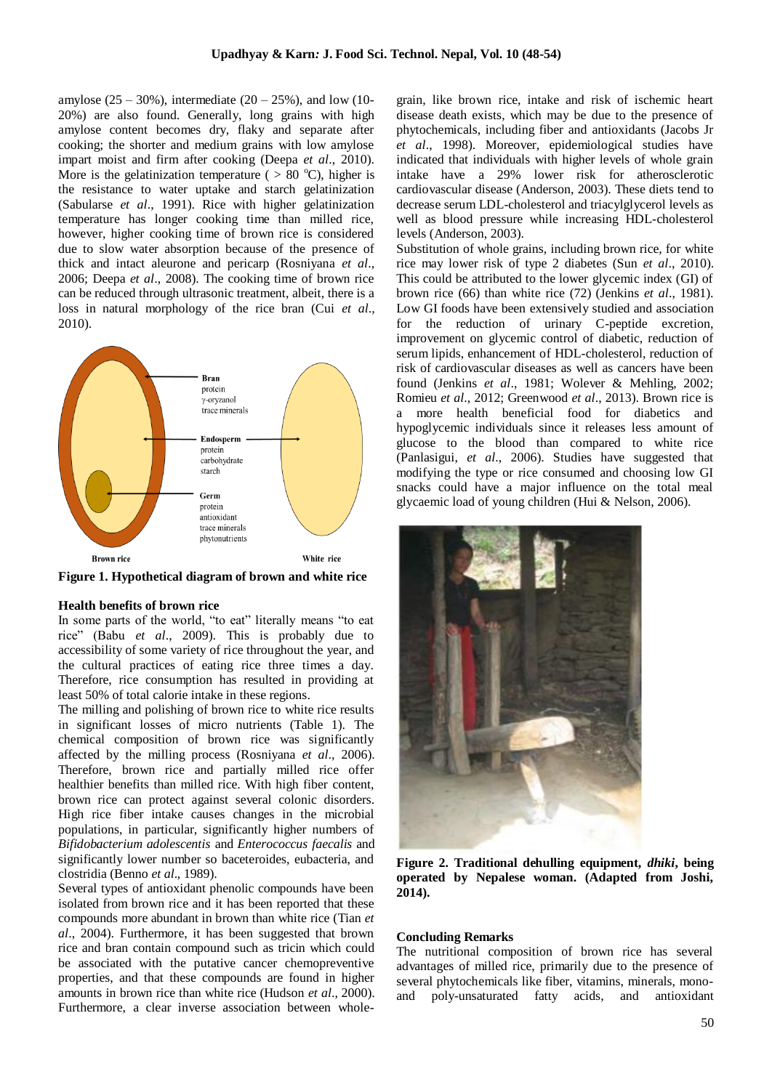amylose  $(25 - 30\%)$ , intermediate  $(20 - 25\%)$ , and low (10-20%) are also found. Generally, long grains with high amylose content becomes dry, flaky and separate after cooking; the shorter and medium grains with low amylose impart moist and firm after cooking (Deepa *et al*., 2010). More is the gelatinization temperature ( $> 80$  °C), higher is the resistance to water uptake and starch gelatinization (Sabularse *et al*., 1991). Rice with higher gelatinization temperature has longer cooking time than milled rice, however, higher cooking time of brown rice is considered due to slow water absorption because of the presence of thick and intact aleurone and pericarp (Rosniyana *et al*., 2006; Deepa *et al*., 2008). The cooking time of brown rice can be reduced through ultrasonic treatment, albeit, there is a loss in natural morphology of the rice bran (Cui *et al*., 2010).



**Figure 1. Hypothetical diagram of brown and white rice** 

#### **Health benefits of brown rice**

In some parts of the world, "to eat" literally means "to eat rice" (Babu *et al*., 2009). This is probably due to accessibility of some variety of rice throughout the year, and the cultural practices of eating rice three times a day. Therefore, rice consumption has resulted in providing at least 50% of total calorie intake in these regions.

The milling and polishing of brown rice to white rice results in significant losses of micro nutrients (Table 1). The chemical composition of brown rice was significantly affected by the milling process (Rosniyana *et al*., 2006). Therefore, brown rice and partially milled rice offer healthier benefits than milled rice. With high fiber content, brown rice can protect against several colonic disorders. High rice fiber intake causes changes in the microbial populations, in particular, significantly higher numbers of *Bifidobacterium adolescentis* and *Enterococcus faecalis* and significantly lower number so baceteroides, eubacteria, and clostridia (Benno *et al*., 1989).

Several types of antioxidant phenolic compounds have been isolated from brown rice and it has been reported that these compounds more abundant in brown than white rice (Tian *et al*., 2004). Furthermore, it has been suggested that brown rice and bran contain compound such as tricin which could be associated with the putative cancer chemopreventive properties, and that these compounds are found in higher amounts in brown rice than white rice (Hudson *et al*., 2000). Furthermore, a clear inverse association between wholegrain, like brown rice, intake and risk of ischemic heart disease death exists, which may be due to the presence of phytochemicals, including fiber and antioxidants (Jacobs Jr *et al*., 1998). Moreover, epidemiological studies have indicated that individuals with higher levels of whole grain intake have a 29% lower risk for atherosclerotic cardiovascular disease (Anderson, 2003). These diets tend to decrease serum LDL-cholesterol and triacylglycerol levels as well as blood pressure while increasing HDL-cholesterol levels (Anderson, 2003).

Substitution of whole grains, including brown rice, for white rice may lower risk of type 2 diabetes (Sun *et al*., 2010). This could be attributed to the lower glycemic index (GI) of brown rice (66) than white rice (72) (Jenkins *et al*., 1981). Low GI foods have been extensively studied and association for the reduction of urinary C-peptide excretion, improvement on glycemic control of diabetic, reduction of serum lipids, enhancement of HDL-cholesterol, reduction of risk of cardiovascular diseases as well as cancers have been found (Jenkins *et al*., 1981; Wolever & Mehling, 2002; Romieu *et al*., 2012; Greenwood *et al*., 2013). Brown rice is a more health beneficial food for diabetics and hypoglycemic individuals since it releases less amount of glucose to the blood than compared to white rice (Panlasigui, *et al*., 2006). Studies have suggested that modifying the type or rice consumed and choosing low GI snacks could have a major influence on the total meal glycaemic load of young children (Hui & Nelson, 2006).



**Figure 2. Traditional dehulling equipment,** *dhiki***, being operated by Nepalese woman. (Adapted from Joshi, 2014).** 

#### **Concluding Remarks**

The nutritional composition of brown rice has several advantages of milled rice, primarily due to the presence of several phytochemicals like fiber, vitamins, minerals, monoand poly-unsaturated fatty acids, and antioxidant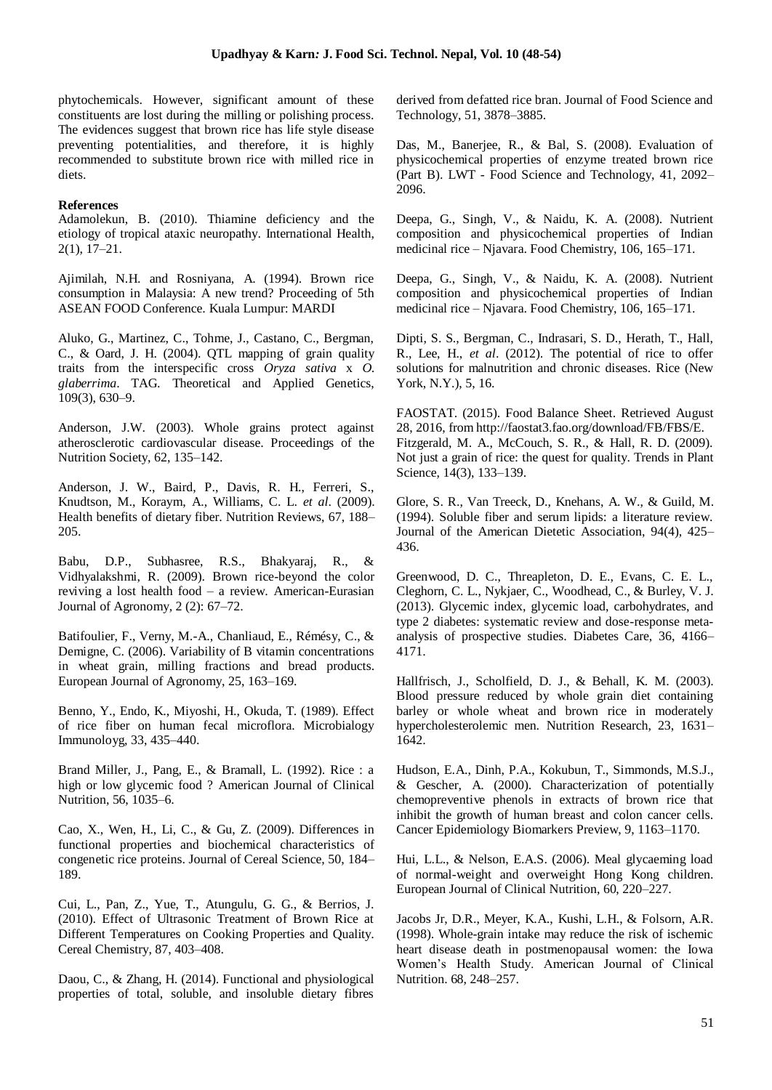phytochemicals. However, significant amount of these constituents are lost during the milling or polishing process. The evidences suggest that brown rice has life style disease preventing potentialities, and therefore, it is highly recommended to substitute brown rice with milled rice in diets.

#### **References**

Adamolekun, B. (2010). Thiamine deficiency and the etiology of tropical ataxic neuropathy. International Health, 2(1), 17–21.

Ajimilah, N.H. and Rosniyana, A. (1994). Brown rice consumption in Malaysia: A new trend? Proceeding of 5th ASEAN FOOD Conference. Kuala Lumpur: MARDI

Aluko, G., Martinez, C., Tohme, J., Castano, C., Bergman, C., & Oard, J. H. (2004). QTL mapping of grain quality traits from the interspecific cross *Oryza sativa* x *O. glaberrima*. TAG. Theoretical and Applied Genetics, 109(3), 630–9.

Anderson, J.W. (2003). Whole grains protect against atherosclerotic cardiovascular disease. Proceedings of the Nutrition Society, 62, 135–142.

Anderson, J. W., Baird, P., Davis, R. H., Ferreri, S., Knudtson, M., Koraym, A., Williams, C. L. *et al*. (2009). Health benefits of dietary fiber. Nutrition Reviews, 67, 188– 205.

Babu, D.P., Subhasree, R.S., Bhakyaraj, R., & Vidhyalakshmi, R. (2009). Brown rice-beyond the color reviving a lost health food – a review. American-Eurasian Journal of Agronomy, 2 (2): 67–72.

Batifoulier, F., Verny, M.-A., Chanliaud, E., Rémésy, C., & Demigne, C. (2006). Variability of B vitamin concentrations in wheat grain, milling fractions and bread products. European Journal of Agronomy, 25, 163–169.

Benno, Y., Endo, K., Miyoshi, H., Okuda, T. (1989). Effect of rice fiber on human fecal microflora. Microbialogy Immunoloyg, 33, 435–440.

Brand Miller, J., Pang, E., & Bramall, L. (1992). Rice : a high or low glycemic food ? American Journal of Clinical Nutrition, 56, 1035–6.

Cao, X., Wen, H., Li, C., & Gu, Z. (2009). Differences in functional properties and biochemical characteristics of congenetic rice proteins. Journal of Cereal Science, 50, 184– 189.

Cui, L., Pan, Z., Yue, T., Atungulu, G. G., & Berrios, J. (2010). Effect of Ultrasonic Treatment of Brown Rice at Different Temperatures on Cooking Properties and Quality. Cereal Chemistry, 87, 403–408.

Daou, C., & Zhang, H. (2014). Functional and physiological properties of total, soluble, and insoluble dietary fibres derived from defatted rice bran. Journal of Food Science and Technology, 51, 3878–3885.

Das, M., Banerjee, R., & Bal, S. (2008). Evaluation of physicochemical properties of enzyme treated brown rice (Part B). LWT - Food Science and Technology, 41, 2092– 2096.

Deepa, G., Singh, V., & Naidu, K. A. (2008). Nutrient composition and physicochemical properties of Indian medicinal rice – Njavara. Food Chemistry, 106, 165–171.

Deepa, G., Singh, V., & Naidu, K. A. (2008). Nutrient composition and physicochemical properties of Indian medicinal rice – Njavara. Food Chemistry, 106, 165–171.

Dipti, S. S., Bergman, C., Indrasari, S. D., Herath, T., Hall, R., Lee, H., *et al*. (2012). The potential of rice to offer solutions for malnutrition and chronic diseases. Rice (New York, N.Y.), 5, 16.

FAOSTAT. (2015). Food Balance Sheet. Retrieved August 28, 2016, from http://faostat3.fao.org/download/FB/FBS/E. Fitzgerald, M. A., McCouch, S. R., & Hall, R. D. (2009). Not just a grain of rice: the quest for quality. Trends in Plant Science, 14(3), 133–139.

Glore, S. R., Van Treeck, D., Knehans, A. W., & Guild, M. (1994). Soluble fiber and serum lipids: a literature review. Journal of the American Dietetic Association, 94(4), 425– 436.

Greenwood, D. C., Threapleton, D. E., Evans, C. E. L., Cleghorn, C. L., Nykjaer, C., Woodhead, C., & Burley, V. J. (2013). Glycemic index, glycemic load, carbohydrates, and type 2 diabetes: systematic review and dose-response metaanalysis of prospective studies. Diabetes Care, 36, 4166– 4171.

Hallfrisch, J., Scholfield, D. J., & Behall, K. M. (2003). Blood pressure reduced by whole grain diet containing barley or whole wheat and brown rice in moderately hypercholesterolemic men. Nutrition Research, 23, 1631– 1642.

Hudson, E.A., Dinh, P.A., Kokubun, T., Simmonds, M.S.J., & Gescher, A. (2000). Characterization of potentially chemopreventive phenols in extracts of brown rice that inhibit the growth of human breast and colon cancer cells. Cancer Epidemiology Biomarkers Preview, 9, 1163–1170.

Hui, L.L., & Nelson, E.A.S. (2006). Meal glycaeming load of normal-weight and overweight Hong Kong children. European Journal of Clinical Nutrition, 60, 220–227.

Jacobs Jr, D.R., Meyer, K.A., Kushi, L.H., & Folsorn, A.R. (1998). Whole-grain intake may reduce the risk of ischemic heart disease death in postmenopausal women: the Iowa Women's Health Study. American Journal of Clinical Nutrition. 68, 248–257.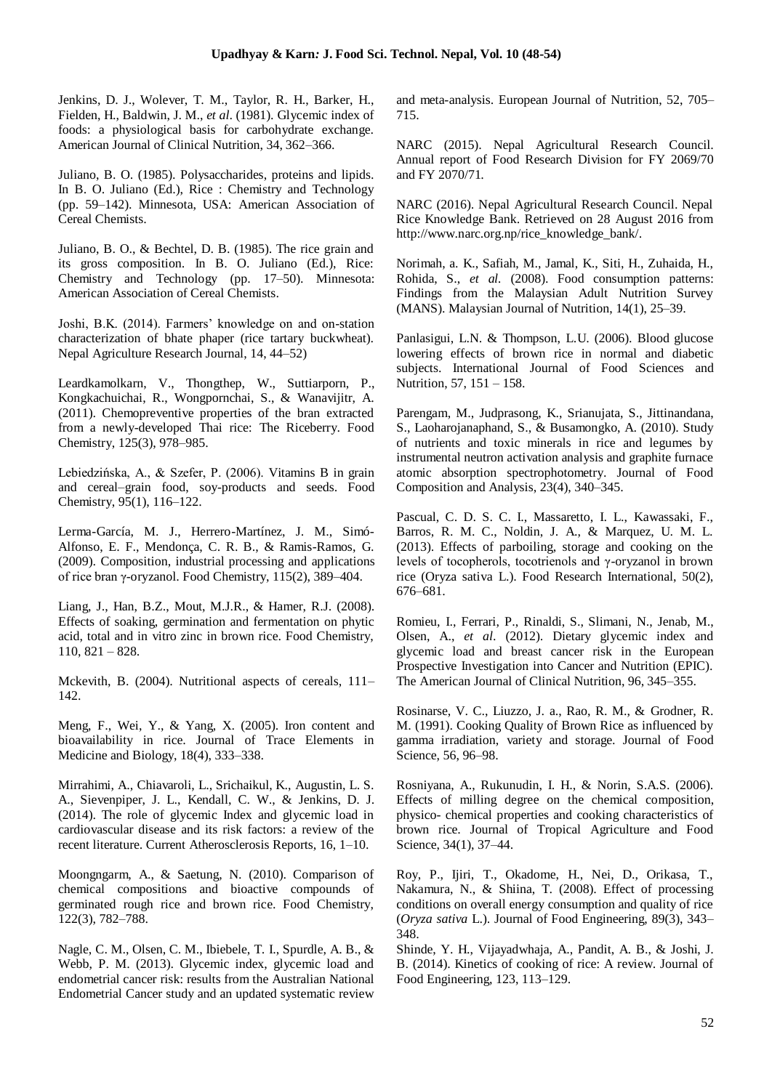Jenkins, D. J., Wolever, T. M., Taylor, R. H., Barker, H., Fielden, H., Baldwin, J. M., *et al*. (1981). Glycemic index of foods: a physiological basis for carbohydrate exchange. American Journal of Clinical Nutrition, 34, 362–366.

Juliano, B. O. (1985). Polysaccharides, proteins and lipids. In B. O. Juliano (Ed.), Rice : Chemistry and Technology (pp. 59–142). Minnesota, USA: American Association of Cereal Chemists.

Juliano, B. O., & Bechtel, D. B. (1985). The rice grain and its gross composition. In B. O. Juliano (Ed.), Rice: Chemistry and Technology (pp. 17–50). Minnesota: American Association of Cereal Chemists.

Joshi, B.K. (2014). Farmers' knowledge on and on-station characterization of bhate phaper (rice tartary buckwheat). Nepal Agriculture Research Journal, 14, 44–52)

Leardkamolkarn, V., Thongthep, W., Suttiarporn, P., Kongkachuichai, R., Wongpornchai, S., & Wanavijitr, A. (2011). Chemopreventive properties of the bran extracted from a newly-developed Thai rice: The Riceberry. Food Chemistry, 125(3), 978–985.

Lebiedzińska, A., & Szefer, P. (2006). Vitamins B in grain and cereal–grain food, soy-products and seeds. Food Chemistry, 95(1), 116–122.

Lerma-García, M. J., Herrero-Martínez, J. M., Simó-Alfonso, E. F., Mendonça, C. R. B., & Ramis-Ramos, G. (2009). Composition, industrial processing and applications of rice bran γ-oryzanol. Food Chemistry, 115(2), 389–404.

Liang, J., Han, B.Z., Mout, M.J.R., & Hamer, R.J. (2008). Effects of soaking, germination and fermentation on phytic acid, total and in vitro zinc in brown rice. Food Chemistry, 110, 821 – 828.

Mckevith, B. (2004). Nutritional aspects of cereals, 111– 142.

Meng, F., Wei, Y., & Yang, X. (2005). Iron content and bioavailability in rice. Journal of Trace Elements in Medicine and Biology, 18(4), 333–338.

Mirrahimi, A., Chiavaroli, L., Srichaikul, K., Augustin, L. S. A., Sievenpiper, J. L., Kendall, C. W., & Jenkins, D. J. (2014). The role of glycemic Index and glycemic load in cardiovascular disease and its risk factors: a review of the recent literature. Current Atherosclerosis Reports, 16, 1–10.

Moongngarm, A., & Saetung, N. (2010). Comparison of chemical compositions and bioactive compounds of germinated rough rice and brown rice. Food Chemistry, 122(3), 782–788.

Nagle, C. M., Olsen, C. M., Ibiebele, T. I., Spurdle, A. B., & Webb, P. M. (2013). Glycemic index, glycemic load and endometrial cancer risk: results from the Australian National Endometrial Cancer study and an updated systematic review and meta-analysis. European Journal of Nutrition, 52, 705– 715.

NARC (2015). Nepal Agricultural Research Council. Annual report of Food Research Division for FY 2069/70 and FY 2070/71.

NARC (2016). Nepal Agricultural Research Council. Nepal Rice Knowledge Bank. Retrieved on 28 August 2016 from http://www.narc.org.np/rice\_knowledge\_bank/.

Norimah, a. K., Safiah, M., Jamal, K., Siti, H., Zuhaida, H., Rohida, S., *et al.* (2008). Food consumption patterns: Findings from the Malaysian Adult Nutrition Survey (MANS). Malaysian Journal of Nutrition, 14(1), 25–39.

Panlasigui, L.N. & Thompson, L.U. (2006). Blood glucose lowering effects of brown rice in normal and diabetic subjects. International Journal of Food Sciences and Nutrition, 57, 151 – 158.

Parengam, M., Judprasong, K., Srianujata, S., Jittinandana, S., Laoharojanaphand, S., & Busamongko, A. (2010). Study of nutrients and toxic minerals in rice and legumes by instrumental neutron activation analysis and graphite furnace atomic absorption spectrophotometry. Journal of Food Composition and Analysis, 23(4), 340–345.

Pascual, C. D. S. C. I., Massaretto, I. L., Kawassaki, F., Barros, R. M. C., Noldin, J. A., & Marquez, U. M. L. (2013). Effects of parboiling, storage and cooking on the levels of tocopherols, tocotrienols and γ-oryzanol in brown rice (Oryza sativa L.). Food Research International, 50(2), 676–681.

Romieu, I., Ferrari, P., Rinaldi, S., Slimani, N., Jenab, M., Olsen, A., *et al*. (2012). Dietary glycemic index and glycemic load and breast cancer risk in the European Prospective Investigation into Cancer and Nutrition (EPIC). The American Journal of Clinical Nutrition, 96, 345–355.

Rosinarse, V. C., Liuzzo, J. a., Rao, R. M., & Grodner, R. M. (1991). Cooking Quality of Brown Rice as influenced by gamma irradiation, variety and storage. Journal of Food Science, 56, 96–98.

Rosniyana, A., Rukunudin, I. H., & Norin, S.A.S. (2006). Effects of milling degree on the chemical composition, physico- chemical properties and cooking characteristics of brown rice. Journal of Tropical Agriculture and Food Science, 34(1), 37–44.

Roy, P., Ijiri, T., Okadome, H., Nei, D., Orikasa, T., Nakamura, N., & Shiina, T. (2008). Effect of processing conditions on overall energy consumption and quality of rice (*Oryza sativa* L.). Journal of Food Engineering, 89(3), 343– 348.

Shinde, Y. H., Vijayadwhaja, A., Pandit, A. B., & Joshi, J. B. (2014). Kinetics of cooking of rice: A review. Journal of Food Engineering, 123, 113–129.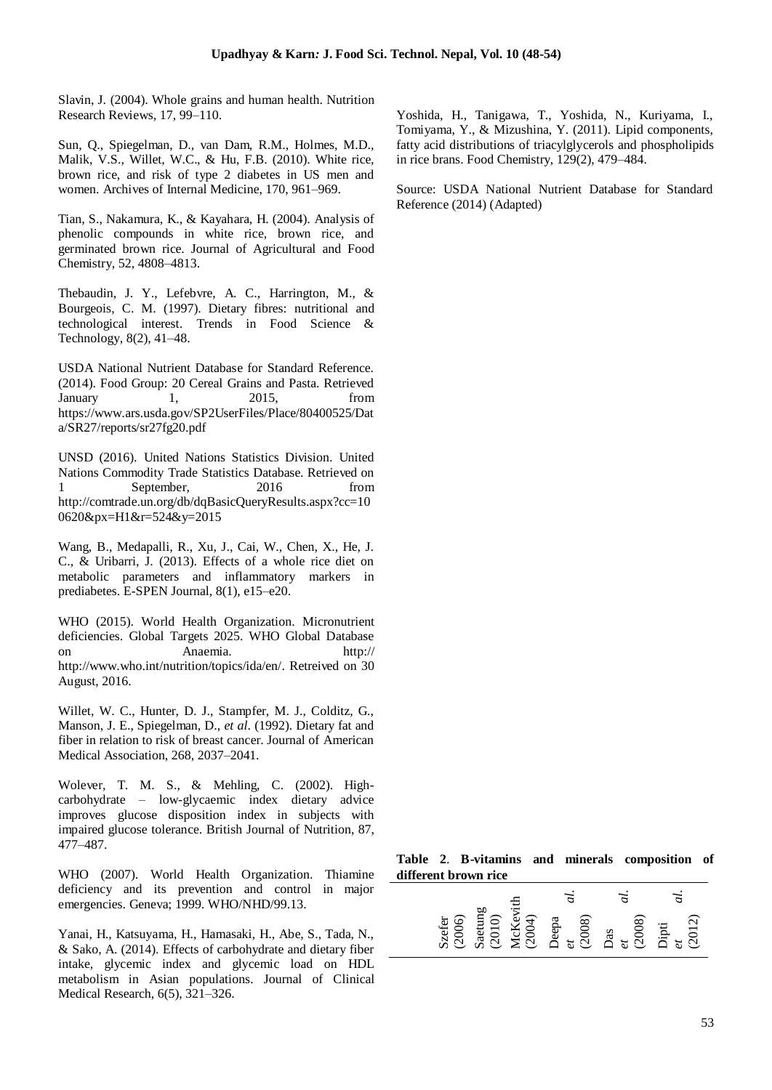Slavin, J. (2004). Whole grains and human health. Nutrition Research Reviews, 17, 99–110.

Sun, Q., Spiegelman, D., van Dam, R.M., Holmes, M.D., Malik, V.S., Willet, W.C., & Hu, F.B. (2010). White rice, brown rice, and risk of type 2 diabetes in US men and women. Archives of Internal Medicine, 170, 961–969.

Tian, S., Nakamura, K., & Kayahara, H. (2004). Analysis of phenolic compounds in white rice, brown rice, and germinated brown rice. Journal of Agricultural and Food Chemistry, 52, 4808–4813.

Thebaudin, J. Y., Lefebvre, A. C., Harrington, M., & Bourgeois, C. M. (1997). Dietary fibres: nutritional and technological interest. Trends in Food Science & Technology, 8(2), 41–48.

USDA National Nutrient Database for Standard Reference. (2014). Food Group: 20 Cereal Grains and Pasta. Retrieved January 1, 2015, from https://www.ars.usda.gov/SP2UserFiles/Place/80400525/Dat a/SR27/reports/sr27fg20.pdf

UNSD (2016). United Nations Statistics Division. United Nations Commodity Trade Statistics Database. Retrieved on 1 September, 2016 from http://comtrade.un.org/db/dqBasicQueryResults.aspx?cc=10 0620&px=H1&r=524&y=2015

Wang, B., Medapalli, R., Xu, J., Cai, W., Chen, X., He, J. C., & Uribarri, J. (2013). Effects of a whole rice diet on metabolic parameters and inflammatory markers in prediabetes. E-SPEN Journal, 8(1), e15–e20.

WHO (2015). World Health Organization. Micronutrient deficiencies. Global Targets 2025. WHO Global Database on Anaemia. http:// http://www.who.int/nutrition/topics/ida/en/. Retreived on 30 August, 2016.

Willet, W. C., Hunter, D. J., Stampfer, M. J., Colditz, G., Manson, J. E., Spiegelman, D., *et al*. (1992). Dietary fat and fiber in relation to risk of breast cancer. Journal of American Medical Association, 268, 2037–2041.

Wolever, T. M. S., & Mehling, C. (2002). Highcarbohydrate – low-glycaemic index dietary advice improves glucose disposition index in subjects with impaired glucose tolerance. British Journal of Nutrition, 87, 477–487.

WHO (2007). World Health Organization. Thiamine deficiency and its prevention and control in major emergencies. Geneva; 1999. WHO/NHD/99.13.

Yanai, H., Katsuyama, H., Hamasaki, H., Abe, S., Tada, N., & Sako, A. (2014). Effects of carbohydrate and dietary fiber intake, glycemic index and glycemic load on HDL metabolism in Asian populations. Journal of Clinical Medical Research, 6(5), 321–326.

Yoshida, H., Tanigawa, T., Yoshida, N., Kuriyama, I., Tomiyama, Y., & Mizushina, Y. (2011). Lipid components, fatty acid distributions of triacylglycerols and phospholipids in rice brans. Food Chemistry, 129(2), 479–484.

Source: USDA National Nutrient Database for Standard Reference (2014) (Adapted)

**Table 2**. **B-vitamins and minerals composition of different brown rice**

| Szefer<br>(2006)<br>Saetung<br>(2010)<br>McKevith<br>McKevith<br>Deepa<br>Peepa<br>Coo8)<br>Dipti<br>$\begin{array}{cc} a \\ dt \\ dt \\ dt \end{array}$ |  |  |
|----------------------------------------------------------------------------------------------------------------------------------------------------------|--|--|